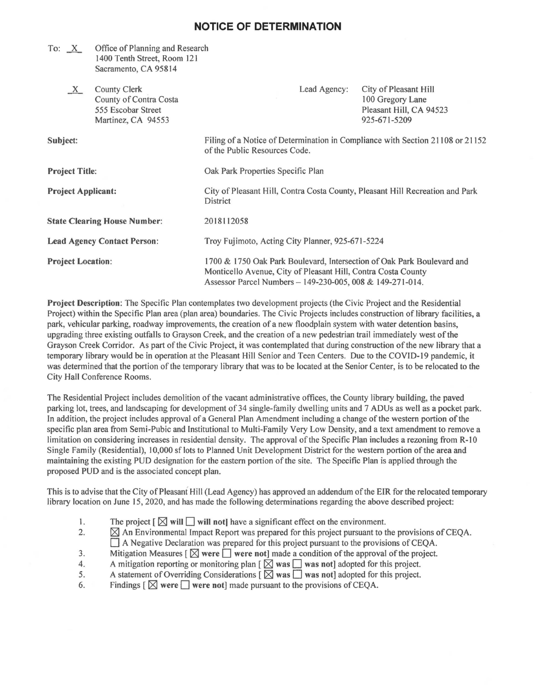## **NOTICE OF DETERMINATION**

|                                     | To: $X$ Office of Planning and Research<br>1400 Tenth Street, Room 121<br>Sacramento, CA 95814 |                                                                                                                                                                                                      |                                                                                      |
|-------------------------------------|------------------------------------------------------------------------------------------------|------------------------------------------------------------------------------------------------------------------------------------------------------------------------------------------------------|--------------------------------------------------------------------------------------|
| $X_{-}$                             | <b>County Clerk</b><br>County of Contra Costa<br>555 Escobar Street<br>Martinez, CA 94553      | Lead Agency:                                                                                                                                                                                         | City of Pleasant Hill<br>100 Gregory Lane<br>Pleasant Hill, CA 94523<br>925-671-5209 |
| Subject:                            |                                                                                                | Filing of a Notice of Determination in Compliance with Section 21108 or 21152<br>of the Public Resources Code.                                                                                       |                                                                                      |
| <b>Project Title:</b>               |                                                                                                | Oak Park Properties Specific Plan                                                                                                                                                                    |                                                                                      |
| <b>Project Applicant:</b>           |                                                                                                | City of Pleasant Hill, Contra Costa County, Pleasant Hill Recreation and Park<br><b>District</b>                                                                                                     |                                                                                      |
| <b>State Clearing House Number:</b> |                                                                                                | 2018112058                                                                                                                                                                                           |                                                                                      |
| <b>Lead Agency Contact Person:</b>  |                                                                                                | Troy Fujimoto, Acting City Planner, 925-671-5224                                                                                                                                                     |                                                                                      |
| <b>Project Location:</b>            |                                                                                                | 1700 & 1750 Oak Park Boulevard, Intersection of Oak Park Boulevard and<br>Monticello Avenue, City of Pleasant Hill, Contra Costa County<br>Assessor Parcel Numbers - 149-230-005, 008 & 149-271-014. |                                                                                      |

Project Description: The Specific Plan contemplates two development projects (the Civic Project and the Residential Project) within the Specific Plan area (plan area) boundaries. The Civic Projects includes construction of library facilities, a park, vehicular parking, roadway improvements, the creation of a new floodplain system with water detention basins, upgrading three existing outfalls to Grayson Creek, and the creation of a new pedestrian trail immediately west ofthe Grayson Creek Corridor. As part of the Civic Project, it was contemplated that during construction of the new library that a temporary library would be in operation at the Pleasant Hill Senior and Teen Centers. Due to the COVID-19 pandemic, it was determined that the portion of the temporary library that was to be located at the Senior Center, is to be relocated to the City Hall Conference Rooms.

The Residential Project includes demolition of the vacant administrative offices, the County library building, the paved parking lot, trees, and landscaping for development of 34 single-fami1y dwelling units and 7 ADUs as well as a pocket park. In addition, the project includes approval of a General Plan Amendment including a change of the western portion of the specific plan area from Semi-Pubic and Institutional to Multi-Family Very Low Density, and a text amendment to remove a limitation on considering increases in residential density. The approval of the Specific Plan includes a rezoning from R-10 Single Family (Residential), I 0,000 sf lots to Planned Unit Development District for the western portion of the area and maintaining the existing PUD designation for the eastern portion of the site. The Specific Plan is applied through the proposed PUD and is the associated concept plan.

This is to advise that the City of Pleasant Hill (Lead Agency) has approved an addendum of the EIR for the relocated temporary library location on June 15, 2020, and has made the following determinations regarding the above described project:

- 1. The project  $\lbrack \boxtimes \text{ will } \square$  will not have a significant effect on the environment.<br>2.  $\blacksquare$  An Environmental Impact Report was prepared for this project pursuant to t
- $\boxtimes$  An Environmental Impact Report was prepared for this project pursuant to the provisions of CEQA. D A Negative Declaration was prepared for this project pursuant to the provisions of CEQA.
- 3. Mitigation Measures  $[\boxtimes]$  were  $\Box$  were not] made a condition of the approval of the project.
- 4. A mitigation reporting or monitoring plan  $[\overrightarrow{\infty}]$  was  $\Box$  was not] adopted for this project.
- 5. A statement of Overriding Considerations  $\left[\ \overline{\boxtimes} \right]$  was  $\overline{\Box}$  was not] adopted for this project. 6. A statement of Overriding Considerations  $[\boxtimes$  was  $\Box$  was not] adopted for 6. Findings  $[\boxtimes$  were  $\Box$  were not] made pursuant to the provisions of CEQA.
-